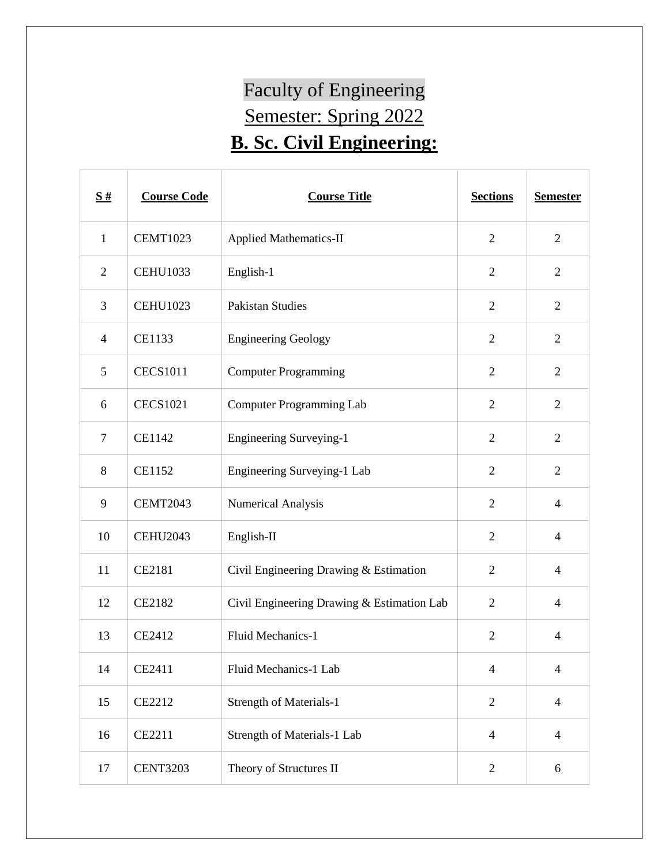## Faculty of Engineering Semester: Spring 2022 **B. Sc. Civil Engineering:**

| $\frac{S#}{4}$ | <b>Course Code</b> | <b>Course Title</b>                        | <b>Sections</b> | <b>Semester</b> |
|----------------|--------------------|--------------------------------------------|-----------------|-----------------|
| $\mathbf{1}$   | <b>CEMT1023</b>    | <b>Applied Mathematics-II</b>              | $\mathfrak{2}$  | $\overline{2}$  |
| $\overline{2}$ | <b>CEHU1033</b>    | English-1                                  | $\overline{2}$  | $\overline{2}$  |
| 3              | <b>CEHU1023</b>    | <b>Pakistan Studies</b>                    | $\overline{2}$  | $\overline{2}$  |
| $\overline{4}$ | CE1133             | <b>Engineering Geology</b>                 | $\overline{2}$  | $\overline{2}$  |
| 5              | <b>CECS1011</b>    | <b>Computer Programming</b>                | $\overline{2}$  | $\overline{2}$  |
| 6              | <b>CECS1021</b>    | <b>Computer Programming Lab</b>            | $\overline{2}$  | $\overline{2}$  |
| $\tau$         | <b>CE1142</b>      | <b>Engineering Surveying-1</b>             | $\overline{2}$  | $\overline{2}$  |
| 8              | <b>CE1152</b>      | Engineering Surveying-1 Lab                | $\overline{2}$  | $\overline{2}$  |
| 9              | <b>CEMT2043</b>    | <b>Numerical Analysis</b>                  | $\overline{2}$  | $\overline{4}$  |
| 10             | <b>CEHU2043</b>    | English-II                                 | $\overline{2}$  | $\overline{4}$  |
| 11             | CE2181             | Civil Engineering Drawing & Estimation     | $\mathfrak{2}$  | $\overline{4}$  |
| 12             | <b>CE2182</b>      | Civil Engineering Drawing & Estimation Lab | $\overline{2}$  | $\overline{4}$  |
| 13             | CE2412             | Fluid Mechanics-1                          | $\overline{2}$  | $\overline{4}$  |
| 14             | CE2411             | Fluid Mechanics-1 Lab                      | $\overline{4}$  | 4               |
| 15             | CE2212             | Strength of Materials-1                    | $\overline{2}$  | $\overline{4}$  |
| 16             | CE2211             | Strength of Materials-1 Lab                | $\overline{4}$  | $\overline{4}$  |
| 17             | <b>CENT3203</b>    | Theory of Structures II                    | $\mathbf{2}$    | 6               |